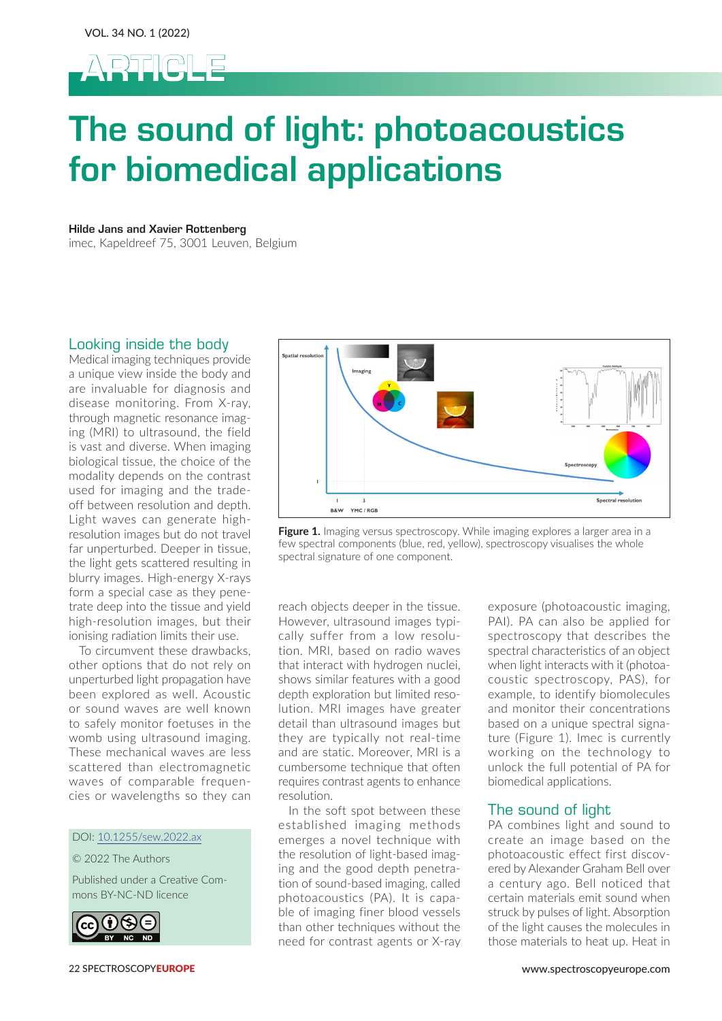

# The sound of light: photoacoustics for biomedical applications

Hilde Jans and Xavier Rottenberg

imec, Kapeldreef 75, 3001 Leuven, Belgium

# Looking inside the body

Medical imaging techniques provide a unique view inside the body and are invaluable for diagnosis and disease monitoring. From X-ray, through magnetic resonance imaging (MRI) to ultrasound, the field is vast and diverse. When imaging biological tissue, the choice of the modality depends on the contrast used for imaging and the tradeoff between resolution and depth. Light waves can generate highresolution images but do not travel far unperturbed. Deeper in tissue, the light gets scattered resulting in blurry images. High-energy X-rays form a special case as they penetrate deep into the tissue and yield high-resolution images, but their ionising radiation limits their use.

To circumvent these drawbacks, other options that do not rely on unperturbed light propagation have been explored as well. Acoustic or sound waves are well known to safely monitor foetuses in the womb using ultrasound imaging. These mechanical waves are less scattered than electromagnetic waves of comparable frequencies or wavelengths so they can

#### DOI: 10.1255/sew.2022.ax

## © 2022 The Authors

Published under a Creative Commons BY-NC-ND licence





**Figure 1.** Imaging versus spectroscopy. While imaging explores a larger area in a few spectral components (blue, red, yellow), spectroscopy visualises the whole spectral signature of one component.

reach objects deeper in the tissue. However, ultrasound images typically suffer from a low resolution. MRI, based on radio waves that interact with hydrogen nuclei, shows similar features with a good depth exploration but limited resolution. MRI images have greater detail than ultrasound images but they are typically not real-time and are static. Moreover, MRI is a cumbersome technique that often requires contrast agents to enhance resolution.

In the soft spot between these established imaging methods emerges a novel technique with the resolution of light-based imaging and the good depth penetration of sound-based imaging, called photoacoustics (PA). It is capable of imaging finer blood vessels than other techniques without the need for contrast agents or X-ray exposure (photoacoustic imaging, PAI). PA can also be applied for spectroscopy that describes the spectral characteristics of an object when light interacts with it (photoacoustic spectroscopy, PAS), for example, to identify biomolecules and monitor their concentrations based on a unique spectral signature (Figure 1). Imec is currently working on the technology to unlock the full potential of PA for biomedical applications.

# The sound of light

PA combines light and sound to create an image based on the photoacoustic effect first discovered by Alexander Graham Bell over a century ago. Bell noticed that certain materials emit sound when struck by pulses of light. Absorption of the light causes the molecules in those materials to heat up. Heat in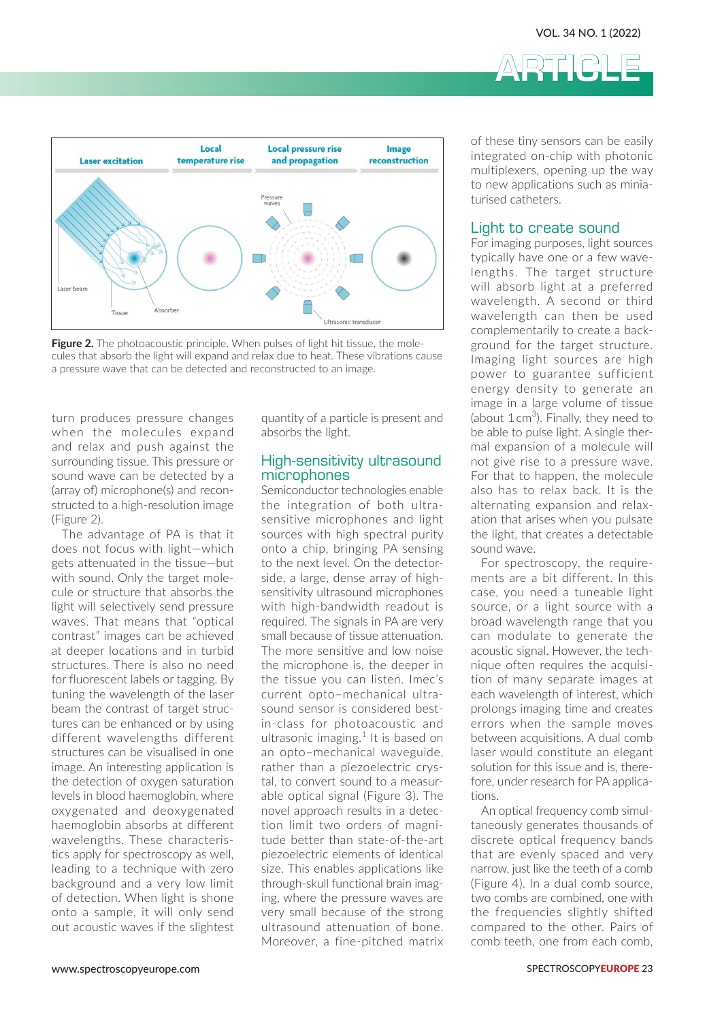

**Figure 2.** The photoacoustic principle. When pulses of light hit tissue, the molecules that absorb the light will expand and relax due to heat. These vibrations cause a pressure wave that can be detected and reconstructed to an image.

turn produces pressure changes when the molecules expand and relax and push against the surrounding tissue. This pressure or sound wave can be detected by a (array of) microphone(s) and reconstructed to a high-resolution image (Figure 2).

The advantage of PA is that it does not focus with light—which gets attenuated in the tissue—but with sound. Only the target molecule or structure that absorbs the light will selectively send pressure waves. That means that "optical contrast" images can be achieved at deeper locations and in turbid structures. There is also no need for fluorescent labels or tagging. By tuning the wavelength of the laser beam the contrast of target structures can be enhanced or by using different wavelengths different structures can be visualised in one image. An interesting application is the detection of oxygen saturation levels in blood haemoglobin, where oxygenated and deoxygenated haemoglobin absorbs at different wavelengths. These characteristics apply for spectroscopy as well, leading to a technique with zero background and a very low limit of detection. When light is shone onto a sample, it will only send out acoustic waves if the slightest

quantity of a particle is present and absorbs the light.

## High-sensitivity ultrasound microphones

Semiconductor technologies enable the integration of both ultrasensitive microphones and light sources with high spectral purity onto a chip, bringing PA sensing to the next level. On the detectorside, a large, dense array of highsensitivity ultrasound microphones with high-bandwidth readout is required. The signals in PA are very small because of tissue attenuation. The more sensitive and low noise the microphone is, the deeper in the tissue you can listen. Imec's current opto–mechanical ultrasound sensor is considered bestin-class for photoacoustic and ultrasonic imaging.<sup>1</sup> It is based on an opto–mechanical waveguide, rather than a piezoelectric crystal, to convert sound to a measurable optical signal (Figure 3). The novel approach results in a detection limit two orders of magnitude better than state-of-the-art piezoelectric elements of identical size. This enables applications like through-skull functional brain imaging, where the pressure waves are very small because of the strong ultrasound attenuation of bone. Moreover, a fine-pitched matrix

of these tiny sensors can be easily integrated on-chip with photonic multiplexers, opening up the way to new applications such as miniaturised catheters.

ARTICLE

## Light to create sound

For imaging purposes, light sources typically have one or a few wavelengths. The target structure will absorb light at a preferred wavelength. A second or third wavelength can then be used complementarily to create a background for the target structure. Imaging light sources are high power to guarantee sufficient energy density to generate an image in a large volume of tissue (about  $1 \text{ cm}^3$ ). Finally, they need to be able to pulse light. A single thermal expansion of a molecule will not give rise to a pressure wave. For that to happen, the molecule also has to relax back. It is the alternating expansion and relaxation that arises when you pulsate the light, that creates a detectable sound wave.

For spectroscopy, the requirements are a bit different. In this case, you need a tuneable light source, or a light source with a broad wavelength range that you can modulate to generate the acoustic signal. However, the technique often requires the acquisition of many separate images at each wavelength of interest, which prolongs imaging time and creates errors when the sample moves between acquisitions. A dual comb laser would constitute an elegant solution for this issue and is, therefore, under research for PA applications.

An optical frequency comb simultaneously generates thousands of discrete optical frequency bands that are evenly spaced and very narrow, just like the teeth of a comb (Figure 4). In a dual comb source, two combs are combined, one with the frequencies slightly shifted compared to the other. Pairs of comb teeth, one from each comb,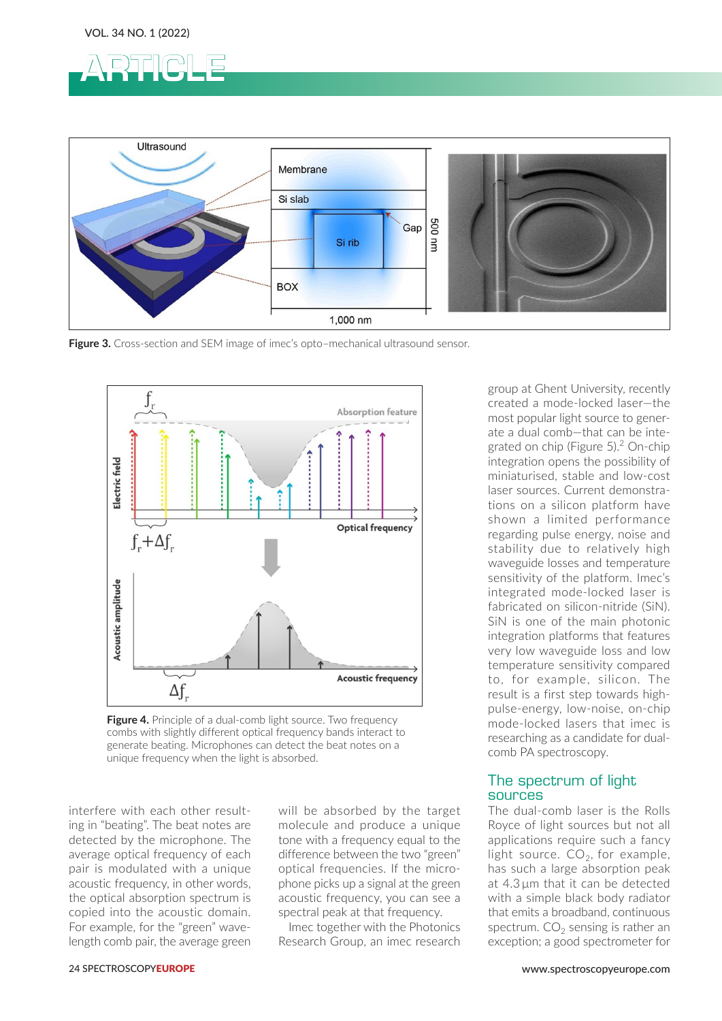



**Figure 3.** Cross-section and SEM image of imec's opto–mechanical ultrasound sensor.



**Figure 4.** Principle of a dual-comb light source. Two frequency combs with slightly different optical frequency bands interact to generate beating. Microphones can detect the beat notes on a unique frequency when the light is absorbed.

interfere with each other resulting in "beating". The beat notes are detected by the microphone. The average optical frequency of each pair is modulated with a unique acoustic frequency, in other words, the optical absorption spectrum is copied into the acoustic domain. For example, for the "green" wavelength comb pair, the average green will be absorbed by the target molecule and produce a unique tone with a frequency equal to the difference between the two "green" optical frequencies. If the microphone picks up a signal at the green acoustic frequency, you can see a spectral peak at that frequency.

Imec together with the Photonics Research Group, an imec research

group at Ghent University, recently created a mode-locked laser—the most popular light source to generate a dual comb—that can be integrated on chip (Figure 5).<sup>2</sup> On-chip integration opens the possibility of miniaturised, stable and low-cost laser sources. Current demonstrations on a silicon platform have shown a limited performance regarding pulse energy, noise and stability due to relatively high waveguide losses and temperature sensitivity of the platform. Imec's integrated mode-locked laser is fabricated on silicon-nitride (SiN). SiN is one of the main photonic integration platforms that features very low waveguide loss and low temperature sensitivity compared to, for example, silicon. The result is a first step towards highpulse-energy, low-noise, on-chip mode-locked lasers that imec is researching as a candidate for dualcomb PA spectroscopy.

# The spectrum of light sources

The dual-comb laser is the Rolls Royce of light sources but not all applications require such a fancy light source.  $CO<sub>2</sub>$ , for example, has such a large absorption peak at 4.3 μm that it can be detected with a simple black body radiator that emits a broadband, continuous spectrum.  $CO<sub>2</sub>$  sensing is rather an exception; a good spectrometer for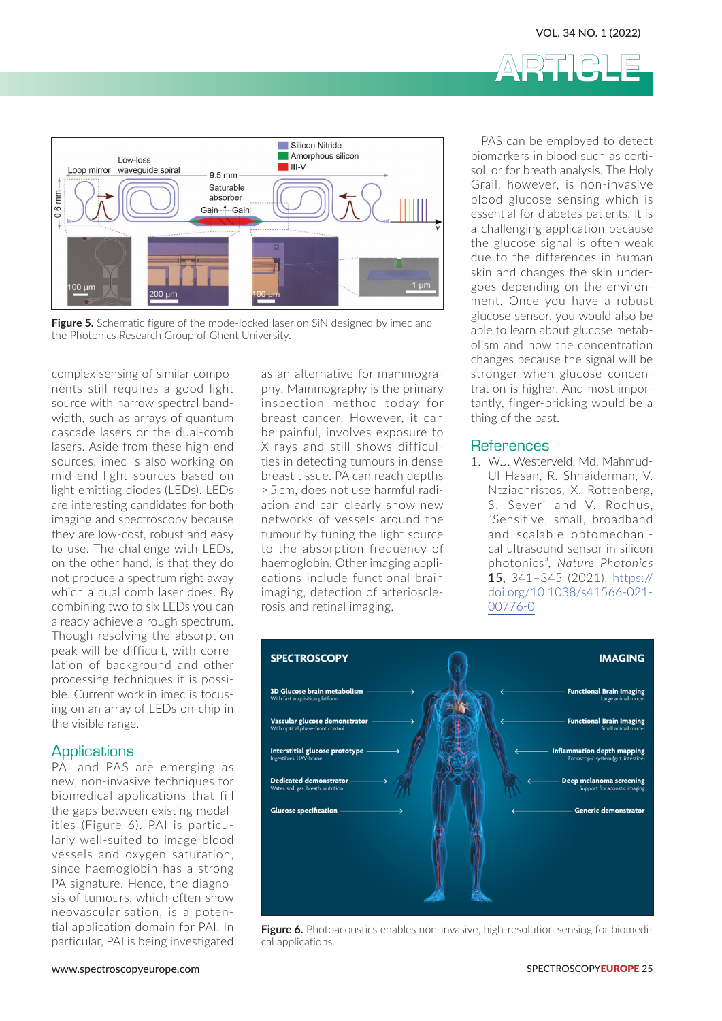



**Figure 5.** Schematic figure of the mode-locked laser on SiN designed by imec and the Photonics Research Group of Ghent University.

complex sensing of similar components still requires a good light source with narrow spectral bandwidth, such as arrays of quantum cascade lasers or the dual-comb lasers. Aside from these high-end sources, imec is also working on mid-end light sources based on light emitting diodes (LEDs). LEDs are interesting candidates for both imaging and spectroscopy because they are low-cost, robust and easy to use. The challenge with LEDs, on the other hand, is that they do not produce a spectrum right away which a dual comb laser does. By combining two to six LEDs you can already achieve a rough spectrum. Though resolving the absorption peak will be difficult, with correlation of background and other processing techniques it is possible. Current work in imec is focusing on an array of LEDs on-chip in the visible range.

#### **Applications**

PAI and PAS are emerging as new, non-invasive techniques for biomedical applications that fill the gaps between existing modalities (Figure 6). PAI is particularly well-suited to image blood vessels and oxygen saturation, since haemoglobin has a strong PA signature. Hence, the diagnosis of tumours, which often show neovascularisation, is a potential application domain for PAI. In particular, PAI is being investigated

as an alternative for mammography. Mammography is the primary inspection method today for breast cancer. However, it can be painful, involves exposure to X-rays and still shows difficulties in detecting tumours in dense breast tissue. PA can reach depths > 5 cm, does not use harmful radiation and can clearly show new networks of vessels around the tumour by tuning the light source to the absorption frequency of haemoglobin. Other imaging applications include functional brain imaging, detection of arteriosclerosis and retinal imaging.

PAS can be employed to detect biomarkers in blood such as cortisol, or for breath analysis. The Holy Grail, however, is non-invasive blood glucose sensing which is essential for diabetes patients. It is a challenging application because the glucose signal is often weak due to the differences in human skin and changes the skin undergoes depending on the environment. Once you have a robust glucose sensor, you would also be able to learn about glucose metabolism and how the concentration changes because the signal will be stronger when glucose concentration is higher. And most importantly, finger-pricking would be a thing of the past.

#### References

1. W.J. Westerveld, Md. Mahmud-Ul-Hasan, R. Shnaiderman, V. Ntziachristos, X. Rottenberg, S. Severi and V. Rochus, "Sensitive, small, broadband and scalable optomechanical ultrasound sensor in silicon photonics", *Nature Photonics*  15, 341–345 (2021). [https://](https://doi.org/10.1038/s41566-021-00776-0) [doi.org/10.1038/s41566-021-](https://doi.org/10.1038/s41566-021-00776-0) [00776-0](https://doi.org/10.1038/s41566-021-00776-0)



**Figure 6.** Photoacoustics enables non-invasive, high-resolution sensing for biomedical applications.